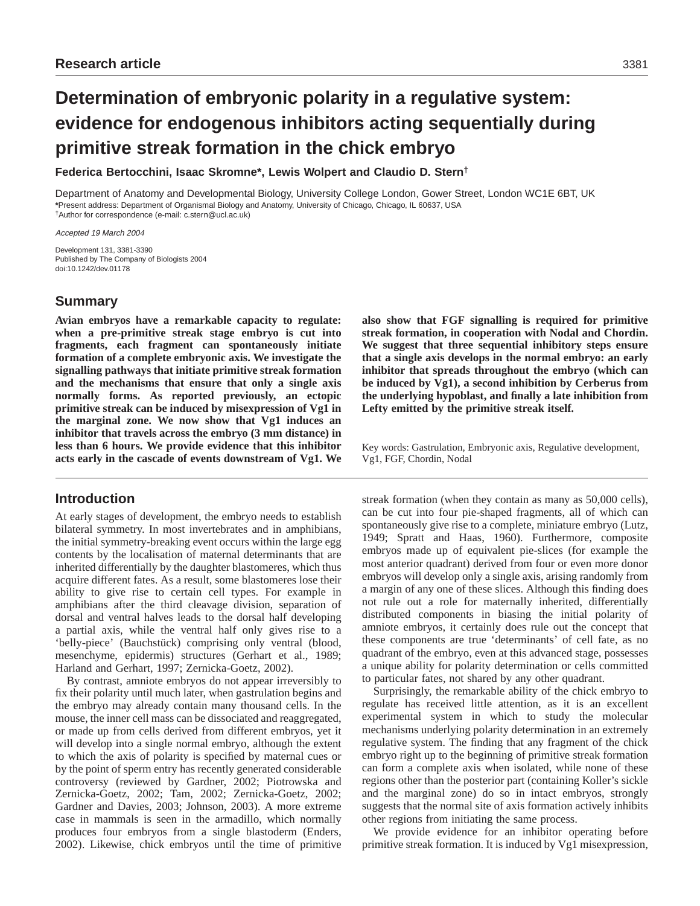# **Determination of embryonic polarity in a regulative system: evidence for endogenous inhibitors acting sequentially during primitive streak formation in the chick embryo**

**Federica Bertocchini, Isaac Skromne\*, Lewis Wolpert and Claudio D. Stern†**

Department of Anatomy and Developmental Biology, University College London, Gower Street, London WC1E 6BT, UK **\***Present address: Department of Organismal Biology and Anatomy, University of Chicago, Chicago, IL 60637, USA †Author for correspondence (e-mail: c.stern@ucl.ac.uk)

Accepted 19 March 2004

Development 131, 3381-3390 Published by The Company of Biologists 2004 doi:10.1242/dev.01178

# **Summary**

**Avian embryos have a remarkable capacity to regulate: when a pre-primitive streak stage embryo is cut into fragments, each fragment can spontaneously initiate formation of a complete embryonic axis. We investigate the signalling pathways that initiate primitive streak formation and the mechanisms that ensure that only a single axis normally forms. As reported previously, an ectopic primitive streak can be induced by misexpression of Vg1 in the marginal zone. We now show that Vg1 induces an inhibitor that travels across the embryo (3 mm distance) in less than 6 hours. We provide evidence that this inhibitor acts early in the cascade of events downstream of Vg1. We**

# **Introduction**

At early stages of development, the embryo needs to establish bilateral symmetry. In most invertebrates and in amphibians, the initial symmetry-breaking event occurs within the large egg contents by the localisation of maternal determinants that are inherited differentially by the daughter blastomeres, which thus acquire different fates. As a result, some blastomeres lose their ability to give rise to certain cell types. For example in amphibians after the third cleavage division, separation of dorsal and ventral halves leads to the dorsal half developing a partial axis, while the ventral half only gives rise to a 'belly-piece' (Bauchstück) comprising only ventral (blood, mesenchyme, epidermis) structures (Gerhart et al., 1989; Harland and Gerhart, 1997; Zernicka-Goetz, 2002).

By contrast, amniote embryos do not appear irreversibly to fix their polarity until much later, when gastrulation begins and the embryo may already contain many thousand cells. In the mouse, the inner cell mass can be dissociated and reaggregated, or made up from cells derived from different embryos, yet it will develop into a single normal embryo, although the extent to which the axis of polarity is specified by maternal cues or by the point of sperm entry has recently generated considerable controversy (reviewed by Gardner, 2002; Piotrowska and Zernicka-Goetz, 2002; Tam, 2002; Zernicka-Goetz, 2002; Gardner and Davies, 2003; Johnson, 2003). A more extreme case in mammals is seen in the armadillo, which normally produces four embryos from a single blastoderm (Enders, 2002). Likewise, chick embryos until the time of primitive **also show that FGF signalling is required for primitive streak formation, in cooperation with Nodal and Chordin. We suggest that three sequential inhibitory steps ensure that a single axis develops in the normal embryo: an early inhibitor that spreads throughout the embryo (which can be induced by Vg1), a second inhibition by Cerberus from the underlying hypoblast, and finally a late inhibition from Lefty emitted by the primitive streak itself.**

Key words: Gastrulation, Embryonic axis, Regulative development, Vg1, FGF, Chordin, Nodal

streak formation (when they contain as many as 50,000 cells), can be cut into four pie-shaped fragments, all of which can spontaneously give rise to a complete, miniature embryo (Lutz, 1949; Spratt and Haas, 1960). Furthermore, composite embryos made up of equivalent pie-slices (for example the most anterior quadrant) derived from four or even more donor embryos will develop only a single axis, arising randomly from a margin of any one of these slices. Although this finding does not rule out a role for maternally inherited, differentially distributed components in biasing the initial polarity of amniote embryos, it certainly does rule out the concept that these components are true 'determinants' of cell fate, as no quadrant of the embryo, even at this advanced stage, possesses a unique ability for polarity determination or cells committed to particular fates, not shared by any other quadrant.

Surprisingly, the remarkable ability of the chick embryo to regulate has received little attention, as it is an excellent experimental system in which to study the molecular mechanisms underlying polarity determination in an extremely regulative system. The finding that any fragment of the chick embryo right up to the beginning of primitive streak formation can form a complete axis when isolated, while none of these regions other than the posterior part (containing Koller's sickle and the marginal zone) do so in intact embryos, strongly suggests that the normal site of axis formation actively inhibits other regions from initiating the same process.

We provide evidence for an inhibitor operating before primitive streak formation. It is induced by Vg1 misexpression,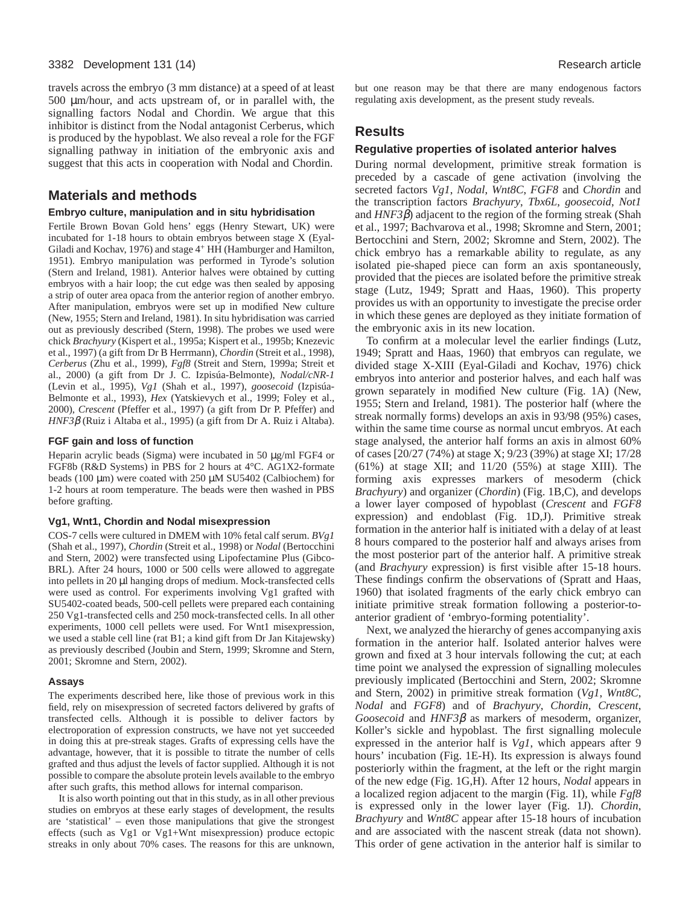#### 3382 Development 131 (14) Research article

travels across the embryo (3 mm distance) at a speed of at least 500 µm/hour, and acts upstream of, or in parallel with, the signalling factors Nodal and Chordin. We argue that this inhibitor is distinct from the Nodal antagonist Cerberus, which is produced by the hypoblast. We also reveal a role for the FGF signalling pathway in initiation of the embryonic axis and suggest that this acts in cooperation with Nodal and Chordin.

# **Materials and methods**

### **Embryo culture, manipulation and in situ hybridisation**

Fertile Brown Bovan Gold hens' eggs (Henry Stewart, UK) were incubated for 1-18 hours to obtain embryos between stage X (Eyal-Giladi and Kochav, 1976) and stage 4<sup>+</sup> HH (Hamburger and Hamilton, 1951). Embryo manipulation was performed in Tyrode's solution (Stern and Ireland, 1981). Anterior halves were obtained by cutting embryos with a hair loop; the cut edge was then sealed by apposing a strip of outer area opaca from the anterior region of another embryo. After manipulation, embryos were set up in modified New culture (New, 1955; Stern and Ireland, 1981). In situ hybridisation was carried out as previously described (Stern, 1998). The probes we used were chick *Brachyury* (Kispert et al., 1995a; Kispert et al., 1995b; Knezevic et al., 1997) (a gift from Dr B Herrmann), *Chordin* (Streit et al., 1998), *Cerberus* (Zhu et al., 1999), *Fgf8* (Streit and Stern, 1999a; Streit et al., 2000) (a gift from Dr J. C. Izpisúa-Belmonte), *Nodal/cNR-1* (Levin et al., 1995), *Vg1* (Shah et al., 1997), *goosecoid* (Izpisúa-Belmonte et al., 1993), *Hex* (Yatskievych et al., 1999; Foley et al., 2000), *Crescent* (Pfeffer et al., 1997) (a gift from Dr P. Pfeffer) and *HNF3*β (Ruiz i Altaba et al., 1995) (a gift from Dr A. Ruiz i Altaba).

#### **FGF gain and loss of function**

Heparin acrylic beads (Sigma) were incubated in 50 µg/ml FGF4 or FGF8b (R&D Systems) in PBS for 2 hours at 4°C. AG1X2-formate beads (100 µm) were coated with 250 µM SU5402 (Calbiochem) for 1-2 hours at room temperature. The beads were then washed in PBS before grafting.

#### **Vg1, Wnt1, Chordin and Nodal misexpression**

COS-7 cells were cultured in DMEM with 10% fetal calf serum. *BVg1* (Shah et al., 1997), *Chordin* (Streit et al., 1998) or *Nodal* (Bertocchini and Stern, 2002) were transfected using Lipofectamine Plus (Gibco-BRL). After 24 hours, 1000 or 500 cells were allowed to aggregate into pellets in 20 µl hanging drops of medium. Mock-transfected cells were used as control. For experiments involving Vg1 grafted with SU5402-coated beads, 500-cell pellets were prepared each containing 250 Vg1-transfected cells and 250 mock-transfected cells. In all other experiments, 1000 cell pellets were used. For Wnt1 misexpression, we used a stable cell line (rat B1; a kind gift from Dr Jan Kitajewsky) as previously described (Joubin and Stern, 1999; Skromne and Stern, 2001; Skromne and Stern, 2002).

#### **Assays**

The experiments described here, like those of previous work in this field, rely on misexpression of secreted factors delivered by grafts of transfected cells. Although it is possible to deliver factors by electroporation of expression constructs, we have not yet succeeded in doing this at pre-streak stages. Grafts of expressing cells have the advantage, however, that it is possible to titrate the number of cells grafted and thus adjust the levels of factor supplied. Although it is not possible to compare the absolute protein levels available to the embryo after such grafts, this method allows for internal comparison.

It is also worth pointing out that in this study, as in all other previous studies on embryos at these early stages of development, the results are 'statistical' – even those manipulations that give the strongest effects (such as Vg1 or Vg1+Wnt misexpression) produce ectopic streaks in only about 70% cases. The reasons for this are unknown, but one reason may be that there are many endogenous factors regulating axis development, as the present study reveals.

# **Results**

#### **Regulative properties of isolated anterior halves**

During normal development, primitive streak formation is preceded by a cascade of gene activation (involving the secreted factors *Vg1*, *Nodal*, *Wnt8C*, *FGF8* and *Chordin* and the transcription factors *Brachyury*, *Tbx6L*, *goosecoid*, *Not1* and *HNF3*β) adjacent to the region of the forming streak (Shah et al., 1997; Bachvarova et al., 1998; Skromne and Stern, 2001; Bertocchini and Stern, 2002; Skromne and Stern, 2002). The chick embryo has a remarkable ability to regulate, as any isolated pie-shaped piece can form an axis spontaneously, provided that the pieces are isolated before the primitive streak stage (Lutz, 1949; Spratt and Haas, 1960). This property provides us with an opportunity to investigate the precise order in which these genes are deployed as they initiate formation of the embryonic axis in its new location.

To confirm at a molecular level the earlier findings (Lutz, 1949; Spratt and Haas, 1960) that embryos can regulate, we divided stage X-XIII (Eyal-Giladi and Kochav, 1976) chick embryos into anterior and posterior halves, and each half was grown separately in modified New culture (Fig. 1A) (New, 1955; Stern and Ireland, 1981). The posterior half (where the streak normally forms) develops an axis in 93/98 (95%) cases, within the same time course as normal uncut embryos. At each stage analysed, the anterior half forms an axis in almost 60% of cases [20/27 (74%) at stage X; 9/23 (39%) at stage XI; 17/28 (61%) at stage XII; and 11/20 (55%) at stage XIII). The forming axis expresses markers of mesoderm (chick *Brachyury*) and organizer (*Chordin*) (Fig. 1B,C), and develops a lower layer composed of hypoblast (*Crescent* and *FGF8* expression) and endoblast (Fig. 1D,J). Primitive streak formation in the anterior half is initiated with a delay of at least 8 hours compared to the posterior half and always arises from the most posterior part of the anterior half. A primitive streak (and *Brachyury* expression) is first visible after 15-18 hours. These findings confirm the observations of (Spratt and Haas, 1960) that isolated fragments of the early chick embryo can initiate primitive streak formation following a posterior-toanterior gradient of 'embryo-forming potentiality'.

Next, we analyzed the hierarchy of genes accompanying axis formation in the anterior half. Isolated anterior halves were grown and fixed at 3 hour intervals following the cut; at each time point we analysed the expression of signalling molecules previously implicated (Bertocchini and Stern, 2002; Skromne and Stern, 2002) in primitive streak formation (*Vg1*, *Wnt8C*, *Nodal* and *FGF8*) and of *Brachyury*, *Chordin*, *Crescent*, *Goosecoid* and *HNF3*β as markers of mesoderm, organizer, Koller's sickle and hypoblast. The first signalling molecule expressed in the anterior half is *Vg1*, which appears after 9 hours' incubation (Fig. 1E-H). Its expression is always found posteriorly within the fragment, at the left or the right margin of the new edge (Fig. 1G,H). After 12 hours, *Nodal* appears in a localized region adjacent to the margin (Fig. 1I), while *Fgf8* is expressed only in the lower layer (Fig. 1J). *Chordin*, *Brachyury* and *Wnt8C* appear after 15-18 hours of incubation and are associated with the nascent streak (data not shown). This order of gene activation in the anterior half is similar to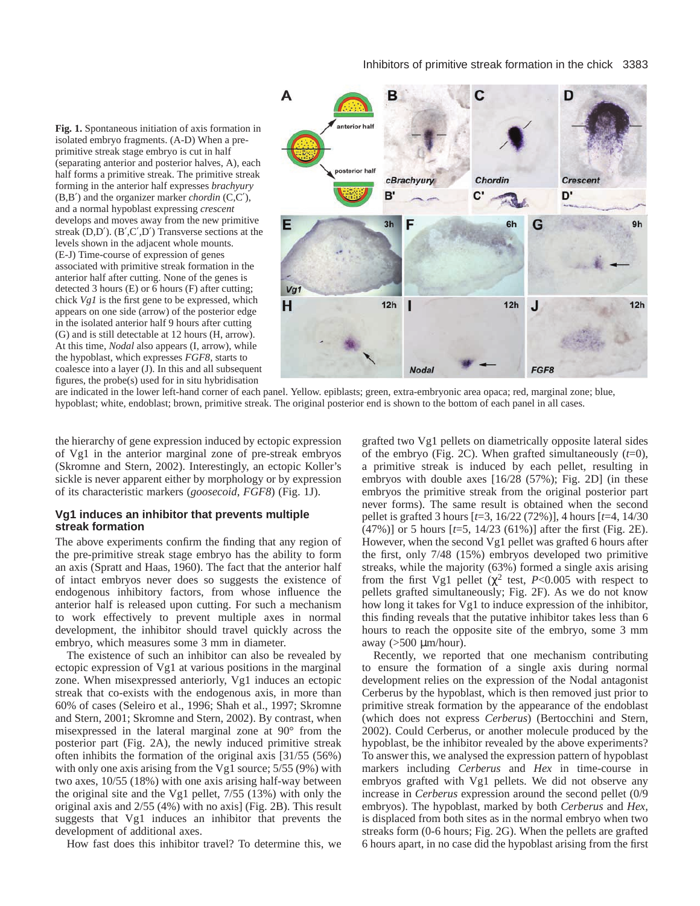## Inhibitors of primitive streak formation in the chick 3383

**Fig. 1.** Spontaneous initiation of axis formation in isolated embryo fragments. (A-D) When a preprimitive streak stage embryo is cut in half (separating anterior and posterior halves, A), each half forms a primitive streak. The primitive streak forming in the anterior half expresses *brachyury* (B,B′) and the organizer marker *chordin* (C,C′), and a normal hypoblast expressing *crescent* develops and moves away from the new primitive streak  $(D,D')$ .  $(B',C',D')$  Transverse sections at the levels shown in the adjacent whole mounts. (E-J) Time-course of expression of genes associated with primitive streak formation in the anterior half after cutting. None of the genes is detected 3 hours (E) or 6 hours (F) after cutting; chick *Vg1* is the first gene to be expressed, which appears on one side (arrow) of the posterior edge in the isolated anterior half 9 hours after cutting (G) and is still detectable at 12 hours (H, arrow). At this time, *Nodal* also appears (I, arrow), while the hypoblast, which expresses *FGF8*, starts to coalesce into a layer (J). In this and all subsequent figures, the probe(s) used for in situ hybridisation



are indicated in the lower left-hand corner of each panel. Yellow. epiblasts; green, extra-embryonic area opaca; red, marginal zone; blue, hypoblast; white, endoblast; brown, primitive streak. The original posterior end is shown to the bottom of each panel in all cases.

the hierarchy of gene expression induced by ectopic expression of Vg1 in the anterior marginal zone of pre-streak embryos (Skromne and Stern, 2002). Interestingly, an ectopic Koller's sickle is never apparent either by morphology or by expression of its characteristic markers (*goosecoid*, *FGF8*) (Fig. 1J).

# **Vg1 induces an inhibitor that prevents multiple streak formation**

The above experiments confirm the finding that any region of the pre-primitive streak stage embryo has the ability to form an axis (Spratt and Haas, 1960). The fact that the anterior half of intact embryos never does so suggests the existence of endogenous inhibitory factors, from whose influence the anterior half is released upon cutting. For such a mechanism to work effectively to prevent multiple axes in normal development, the inhibitor should travel quickly across the embryo, which measures some 3 mm in diameter.

The existence of such an inhibitor can also be revealed by ectopic expression of Vg1 at various positions in the marginal zone. When misexpressed anteriorly, Vg1 induces an ectopic streak that co-exists with the endogenous axis, in more than 60% of cases (Seleiro et al., 1996; Shah et al., 1997; Skromne and Stern, 2001; Skromne and Stern, 2002). By contrast, when misexpressed in the lateral marginal zone at 90° from the posterior part (Fig. 2A), the newly induced primitive streak often inhibits the formation of the original axis [31/55 (56%) with only one axis arising from the Vg1 source;  $5/55 (9%)$  with two axes, 10/55 (18%) with one axis arising half-way between the original site and the Vg1 pellet, 7/55 (13%) with only the original axis and 2/55 (4%) with no axis] (Fig. 2B). This result suggests that Vg1 induces an inhibitor that prevents the development of additional axes.

How fast does this inhibitor travel? To determine this, we

grafted two Vg1 pellets on diametrically opposite lateral sides of the embryo (Fig. 2C). When grafted simultaneously  $(t=0)$ , a primitive streak is induced by each pellet, resulting in embryos with double axes [16/28 (57%); Fig. 2D] (in these embryos the primitive streak from the original posterior part never forms). The same result is obtained when the second pellet is grafted 3 hours [*t*=3, 16/22 (72%)], 4 hours [*t*=4, 14/30 (47%)] or 5 hours [*t*=5, 14/23 (61%)] after the first (Fig. 2E). However, when the second Vg1 pellet was grafted 6 hours after the first, only 7/48 (15%) embryos developed two primitive streaks, while the majority (63%) formed a single axis arising from the first Vg1 pellet ( $\chi^2$  test, *P*<0.005 with respect to pellets grafted simultaneously; Fig. 2F). As we do not know how long it takes for Vg1 to induce expression of the inhibitor, this finding reveals that the putative inhibitor takes less than 6 hours to reach the opposite site of the embryo, some 3 mm away  $(>500 \mu m/hour)$ .

Recently, we reported that one mechanism contributing to ensure the formation of a single axis during normal development relies on the expression of the Nodal antagonist Cerberus by the hypoblast, which is then removed just prior to primitive streak formation by the appearance of the endoblast (which does not express *Cerberus*) (Bertocchini and Stern, 2002). Could Cerberus, or another molecule produced by the hypoblast, be the inhibitor revealed by the above experiments? To answer this, we analysed the expression pattern of hypoblast markers including *Cerberus* and *Hex* in time-course in embryos grafted with Vg1 pellets. We did not observe any increase in *Cerberus* expression around the second pellet (0/9 embryos). The hypoblast, marked by both *Cerberus* and *Hex*, is displaced from both sites as in the normal embryo when two streaks form (0-6 hours; Fig. 2G). When the pellets are grafted 6 hours apart, in no case did the hypoblast arising from the first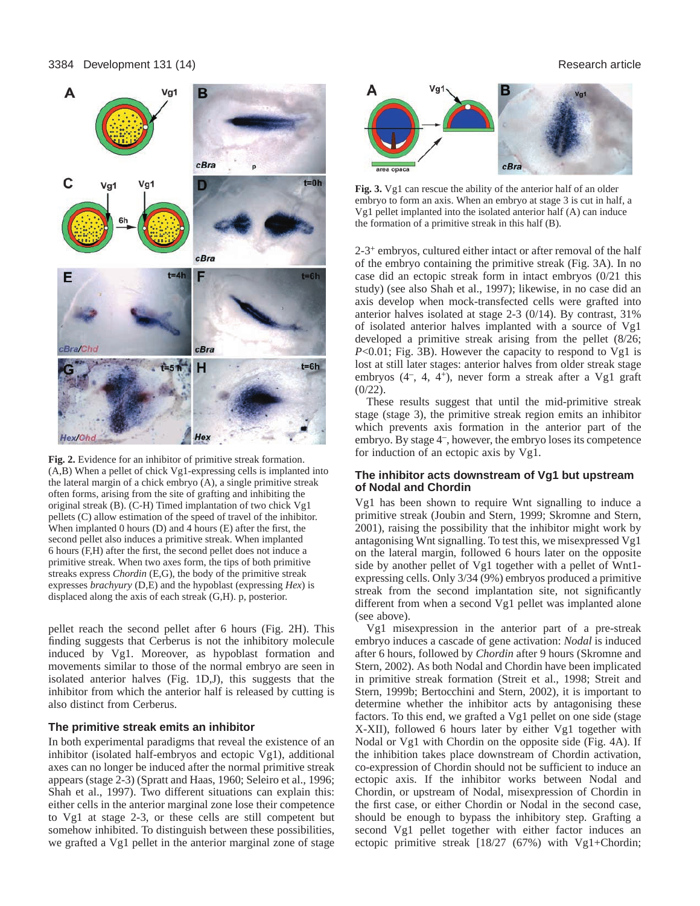

**Fig. 2.** Evidence for an inhibitor of primitive streak formation. (A,B) When a pellet of chick Vg1-expressing cells is implanted into the lateral margin of a chick embryo (A), a single primitive streak often forms, arising from the site of grafting and inhibiting the original streak (B). (C-H) Timed implantation of two chick Vg1 pellets (C) allow estimation of the speed of travel of the inhibitor. When implanted 0 hours (D) and 4 hours (E) after the first, the second pellet also induces a primitive streak. When implanted 6 hours (F,H) after the first, the second pellet does not induce a primitive streak. When two axes form, the tips of both primitive streaks express *Chordin* (E,G), the body of the primitive streak expresses *brachyury* (D,E) and the hypoblast (expressing *Hex*) is displaced along the axis of each streak (G,H). p, posterior.

pellet reach the second pellet after 6 hours (Fig. 2H). This finding suggests that Cerberus is not the inhibitory molecule induced by Vg1. Moreover, as hypoblast formation and movements similar to those of the normal embryo are seen in isolated anterior halves (Fig. 1D,J), this suggests that the inhibitor from which the anterior half is released by cutting is also distinct from Cerberus.

#### **The primitive streak emits an inhibitor**

In both experimental paradigms that reveal the existence of an inhibitor (isolated half-embryos and ectopic Vg1), additional axes can no longer be induced after the normal primitive streak appears (stage 2-3) (Spratt and Haas, 1960; Seleiro et al., 1996; Shah et al., 1997). Two different situations can explain this: either cells in the anterior marginal zone lose their competence to Vg1 at stage 2-3, or these cells are still competent but somehow inhibited. To distinguish between these possibilities, we grafted a Vg1 pellet in the anterior marginal zone of stage



**Fig. 3.** Vg1 can rescue the ability of the anterior half of an older embryo to form an axis. When an embryo at stage 3 is cut in half, a Vg1 pellet implanted into the isolated anterior half (A) can induce the formation of a primitive streak in this half (B).

2-3+ embryos, cultured either intact or after removal of the half of the embryo containing the primitive streak (Fig. 3A). In no case did an ectopic streak form in intact embryos (0/21 this study) (see also Shah et al., 1997); likewise, in no case did an axis develop when mock-transfected cells were grafted into anterior halves isolated at stage 2-3 (0/14). By contrast, 31% of isolated anterior halves implanted with a source of Vg1 developed a primitive streak arising from the pellet (8/26; *P*<0.01; Fig. 3B). However the capacity to respond to Vg1 is lost at still later stages: anterior halves from older streak stage embryos (4–, 4, 4+), never form a streak after a Vg1 graft  $(0/22)$ .

These results suggest that until the mid-primitive streak stage (stage 3), the primitive streak region emits an inhibitor which prevents axis formation in the anterior part of the embryo. By stage 4–, however, the embryo loses its competence for induction of an ectopic axis by Vg1.

# **The inhibitor acts downstream of Vg1 but upstream of Nodal and Chordin**

Vg1 has been shown to require Wnt signalling to induce a primitive streak (Joubin and Stern, 1999; Skromne and Stern, 2001), raising the possibility that the inhibitor might work by antagonising Wnt signalling. To test this, we misexpressed Vg1 on the lateral margin, followed 6 hours later on the opposite side by another pellet of Vg1 together with a pellet of Wnt1 expressing cells. Only 3/34 (9%) embryos produced a primitive streak from the second implantation site, not significantly different from when a second Vg1 pellet was implanted alone (see above).

Vg1 misexpression in the anterior part of a pre-streak embryo induces a cascade of gene activation: *Nodal* is induced after 6 hours, followed by *Chordin* after 9 hours (Skromne and Stern, 2002). As both Nodal and Chordin have been implicated in primitive streak formation (Streit et al., 1998; Streit and Stern, 1999b; Bertocchini and Stern, 2002), it is important to determine whether the inhibitor acts by antagonising these factors. To this end, we grafted a Vg1 pellet on one side (stage X-XII), followed 6 hours later by either Vg1 together with Nodal or Vg1 with Chordin on the opposite side (Fig. 4A). If the inhibition takes place downstream of Chordin activation, co-expression of Chordin should not be sufficient to induce an ectopic axis. If the inhibitor works between Nodal and Chordin, or upstream of Nodal, misexpression of Chordin in the first case, or either Chordin or Nodal in the second case, should be enough to bypass the inhibitory step. Grafting a second Vg1 pellet together with either factor induces an ectopic primitive streak [18/27 (67%) with Vg1+Chordin;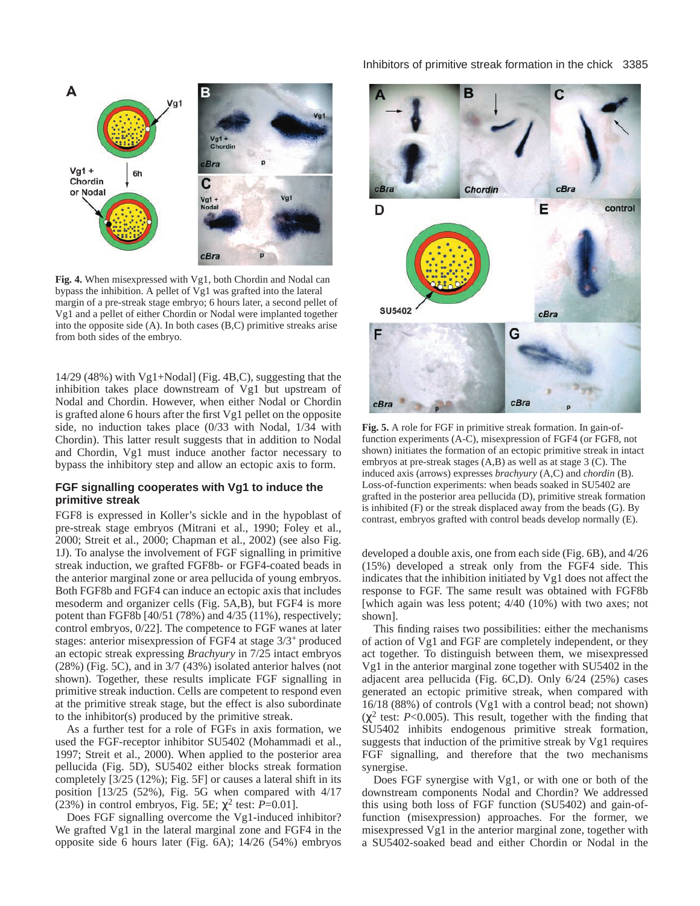

**Fig. 4.** When misexpressed with Vg1, both Chordin and Nodal can bypass the inhibition. A pellet of Vg1 was grafted into the lateral margin of a pre-streak stage embryo; 6 hours later, a second pellet of Vg1 and a pellet of either Chordin or Nodal were implanted together into the opposite side (A). In both cases (B,C) primitive streaks arise from both sides of the embryo.

14/29 (48%) with Vg1+Nodal] (Fig. 4B,C), suggesting that the inhibition takes place downstream of Vg1 but upstream of Nodal and Chordin. However, when either Nodal or Chordin is grafted alone 6 hours after the first Vg1 pellet on the opposite side, no induction takes place (0/33 with Nodal, 1/34 with Chordin). This latter result suggests that in addition to Nodal and Chordin, Vg1 must induce another factor necessary to bypass the inhibitory step and allow an ectopic axis to form.

# **FGF signalling cooperates with Vg1 to induce the primitive streak**

FGF8 is expressed in Koller's sickle and in the hypoblast of pre-streak stage embryos (Mitrani et al., 1990; Foley et al., 2000; Streit et al., 2000; Chapman et al., 2002) (see also Fig. 1J). To analyse the involvement of FGF signalling in primitive streak induction, we grafted FGF8b- or FGF4-coated beads in the anterior marginal zone or area pellucida of young embryos. Both FGF8b and FGF4 can induce an ectopic axis that includes mesoderm and organizer cells (Fig. 5A,B), but FGF4 is more potent than FGF8b [40/51 (78%) and 4/35 (11%), respectively; control embryos, 0/22]. The competence to FGF wanes at later stages: anterior misexpression of FGF4 at stage 3/3+ produced an ectopic streak expressing *Brachyury* in 7/25 intact embryos (28%) (Fig. 5C), and in 3/7 (43%) isolated anterior halves (not shown). Together, these results implicate FGF signalling in primitive streak induction. Cells are competent to respond even at the primitive streak stage, but the effect is also subordinate to the inhibitor(s) produced by the primitive streak.

As a further test for a role of FGFs in axis formation, we used the FGF-receptor inhibitor SU5402 (Mohammadi et al., 1997; Streit et al., 2000). When applied to the posterior area pellucida (Fig. 5D), SU5402 either blocks streak formation completely [3/25 (12%); Fig. 5F] or causes a lateral shift in its position [13/25 (52%), Fig. 5G when compared with 4/17 (23%) in control embryos, Fig. 5E;  $\chi^2$  test: *P*=0.01].

Does FGF signalling overcome the Vg1-induced inhibitor? We grafted Vg1 in the lateral marginal zone and FGF4 in the opposite side 6 hours later (Fig. 6A); 14/26 (54%) embryos

# Inhibitors of primitive streak formation in the chick 3385



**Fig. 5.** A role for FGF in primitive streak formation. In gain-offunction experiments (A-C), misexpression of FGF4 (or FGF8, not shown) initiates the formation of an ectopic primitive streak in intact embryos at pre-streak stages (A,B) as well as at stage 3 (C). The induced axis (arrows) expresses *brachyury* (A,C) and *chordin* (B). Loss-of-function experiments: when beads soaked in SU5402 are grafted in the posterior area pellucida (D), primitive streak formation is inhibited (F) or the streak displaced away from the beads (G). By contrast, embryos grafted with control beads develop normally (E).

developed a double axis, one from each side (Fig. 6B), and 4/26 (15%) developed a streak only from the FGF4 side. This indicates that the inhibition initiated by Vg1 does not affect the response to FGF. The same result was obtained with FGF8b [which again was less potent; 4/40 (10%) with two axes; not shown].

This finding raises two possibilities: either the mechanisms of action of Vg1 and FGF are completely independent, or they act together. To distinguish between them, we misexpressed Vg1 in the anterior marginal zone together with SU5402 in the adjacent area pellucida (Fig. 6C,D). Only 6/24 (25%) cases generated an ectopic primitive streak, when compared with 16/18 (88%) of controls (Vg1 with a control bead; not shown)  $(\chi^2$  test: *P*<0.005). This result, together with the finding that SU5402 inhibits endogenous primitive streak formation, suggests that induction of the primitive streak by Vg1 requires FGF signalling, and therefore that the two mechanisms synergise.

Does FGF synergise with Vg1, or with one or both of the downstream components Nodal and Chordin? We addressed this using both loss of FGF function (SU5402) and gain-offunction (misexpression) approaches. For the former, we misexpressed Vg1 in the anterior marginal zone, together with a SU5402-soaked bead and either Chordin or Nodal in the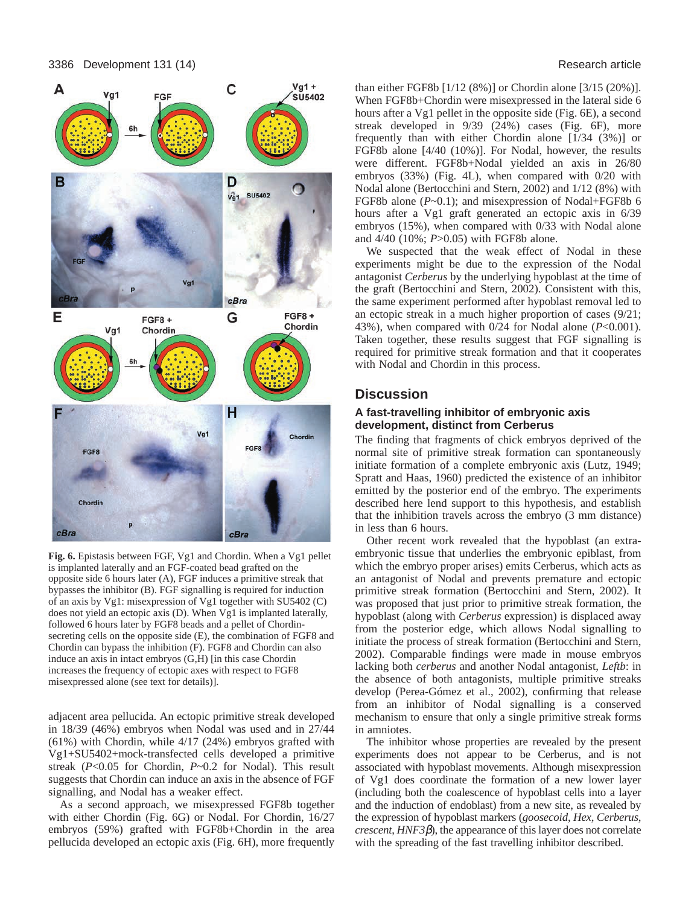

**Fig. 6.** Epistasis between FGF, Vg1 and Chordin. When a Vg1 pellet is implanted laterally and an FGF-coated bead grafted on the opposite side 6 hours later (A), FGF induces a primitive streak that bypasses the inhibitor (B). FGF signalling is required for induction of an axis by Vg1: misexpression of Vg1 together with SU5402 (C) does not yield an ectopic axis (D). When Vg1 is implanted laterally, followed 6 hours later by FGF8 beads and a pellet of Chordinsecreting cells on the opposite side (E), the combination of FGF8 and Chordin can bypass the inhibition (F). FGF8 and Chordin can also induce an axis in intact embryos (G,H) [in this case Chordin increases the frequency of ectopic axes with respect to FGF8 misexpressed alone (see text for details)].

adjacent area pellucida. An ectopic primitive streak developed in 18/39 (46%) embryos when Nodal was used and in 27/44 (61%) with Chordin, while 4/17 (24%) embryos grafted with Vg1+SU5402+mock-transfected cells developed a primitive streak (*P*<0.05 for Chordin, *P*~0.2 for Nodal). This result suggests that Chordin can induce an axis in the absence of FGF signalling, and Nodal has a weaker effect.

As a second approach, we misexpressed FGF8b together with either Chordin (Fig. 6G) or Nodal. For Chordin, 16/27 embryos (59%) grafted with FGF8b+Chordin in the area pellucida developed an ectopic axis (Fig. 6H), more frequently than either FGF8b [1/12 (8%)] or Chordin alone [3/15 (20%)]. When FGF8b+Chordin were misexpressed in the lateral side 6 hours after a Vg1 pellet in the opposite side (Fig. 6E), a second streak developed in 9/39 (24%) cases (Fig. 6F), more frequently than with either Chordin alone [1/34 (3%)] or FGF8b alone [4/40 (10%)]. For Nodal, however, the results were different. FGF8b+Nodal yielded an axis in 26/80 embryos (33%) (Fig. 4L), when compared with 0/20 with Nodal alone (Bertocchini and Stern, 2002) and 1/12 (8%) with FGF8b alone (*P*~0.1); and misexpression of Nodal+FGF8b 6 hours after a Vg1 graft generated an ectopic axis in 6/39 embryos (15%), when compared with 0/33 with Nodal alone and 4/40 (10%; *P*>0.05) with FGF8b alone.

We suspected that the weak effect of Nodal in these experiments might be due to the expression of the Nodal antagonist *Cerberus* by the underlying hypoblast at the time of the graft (Bertocchini and Stern, 2002). Consistent with this, the same experiment performed after hypoblast removal led to an ectopic streak in a much higher proportion of cases (9/21; 43%), when compared with 0/24 for Nodal alone (*P*<0.001). Taken together, these results suggest that FGF signalling is required for primitive streak formation and that it cooperates with Nodal and Chordin in this process.

# **Discussion**

# **A fast-travelling inhibitor of embryonic axis development, distinct from Cerberus**

The finding that fragments of chick embryos deprived of the normal site of primitive streak formation can spontaneously initiate formation of a complete embryonic axis (Lutz, 1949; Spratt and Haas, 1960) predicted the existence of an inhibitor emitted by the posterior end of the embryo. The experiments described here lend support to this hypothesis, and establish that the inhibition travels across the embryo (3 mm distance) in less than 6 hours.

Other recent work revealed that the hypoblast (an extraembryonic tissue that underlies the embryonic epiblast, from which the embryo proper arises) emits Cerberus, which acts as an antagonist of Nodal and prevents premature and ectopic primitive streak formation (Bertocchini and Stern, 2002). It was proposed that just prior to primitive streak formation, the hypoblast (along with *Cerberus* expression) is displaced away from the posterior edge, which allows Nodal signalling to initiate the process of streak formation (Bertocchini and Stern, 2002). Comparable findings were made in mouse embryos lacking both *cerberus* and another Nodal antagonist, *Leftb*: in the absence of both antagonists, multiple primitive streaks develop (Perea-Gómez et al., 2002), confirming that release from an inhibitor of Nodal signalling is a conserved mechanism to ensure that only a single primitive streak forms in amniotes.

The inhibitor whose properties are revealed by the present experiments does not appear to be Cerberus, and is not associated with hypoblast movements. Although misexpression of Vg1 does coordinate the formation of a new lower layer (including both the coalescence of hypoblast cells into a layer and the induction of endoblast) from a new site, as revealed by the expression of hypoblast markers (*goosecoid*, *Hex*, *Cerberus*, *crescent*, *HNF3*β), the appearance of this layer does not correlate with the spreading of the fast travelling inhibitor described.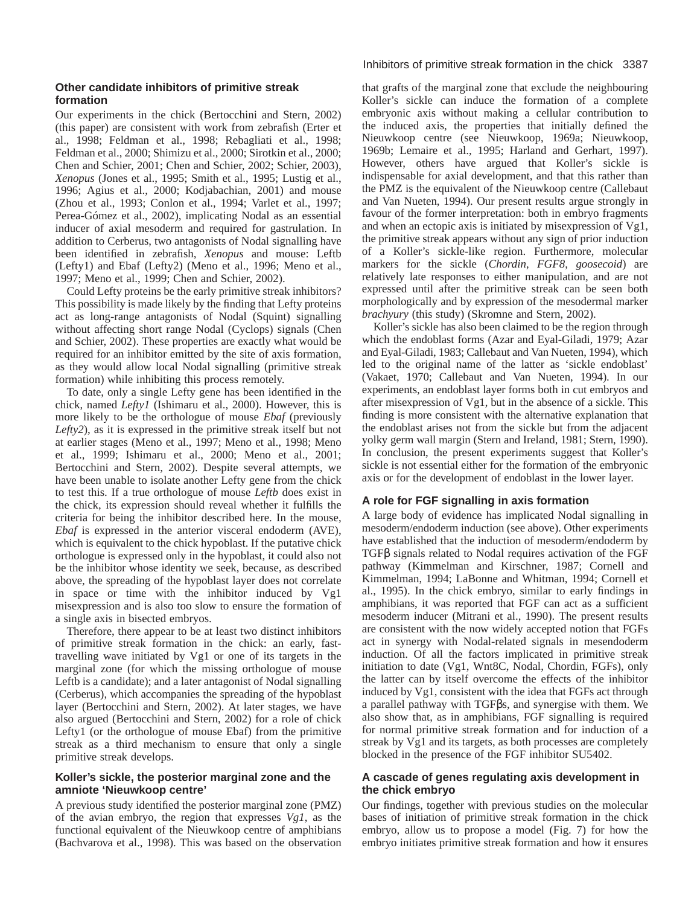# **Other candidate inhibitors of primitive streak formation**

Our experiments in the chick (Bertocchini and Stern, 2002) (this paper) are consistent with work from zebrafish (Erter et al., 1998; Feldman et al., 1998; Rebagliati et al., 1998; Feldman et al., 2000; Shimizu et al., 2000; Sirotkin et al., 2000; Chen and Schier, 2001; Chen and Schier, 2002; Schier, 2003), *Xenopus* (Jones et al., 1995; Smith et al., 1995; Lustig et al., 1996; Agius et al., 2000; Kodjabachian, 2001) and mouse (Zhou et al., 1993; Conlon et al., 1994; Varlet et al., 1997; Perea-Gómez et al., 2002), implicating Nodal as an essential inducer of axial mesoderm and required for gastrulation. In addition to Cerberus, two antagonists of Nodal signalling have been identified in zebrafish, *Xenopus* and mouse: Leftb (Lefty1) and Ebaf (Lefty2) (Meno et al., 1996; Meno et al., 1997; Meno et al., 1999; Chen and Schier, 2002).

Could Lefty proteins be the early primitive streak inhibitors? This possibility is made likely by the finding that Lefty proteins act as long-range antagonists of Nodal (Squint) signalling without affecting short range Nodal (Cyclops) signals (Chen and Schier, 2002). These properties are exactly what would be required for an inhibitor emitted by the site of axis formation, as they would allow local Nodal signalling (primitive streak formation) while inhibiting this process remotely.

To date, only a single Lefty gene has been identified in the chick, named *Lefty1* (Ishimaru et al., 2000). However, this is more likely to be the orthologue of mouse *Ebaf* (previously *Lefty2*), as it is expressed in the primitive streak itself but not at earlier stages (Meno et al., 1997; Meno et al., 1998; Meno et al., 1999; Ishimaru et al., 2000; Meno et al., 2001; Bertocchini and Stern, 2002). Despite several attempts, we have been unable to isolate another Lefty gene from the chick to test this. If a true orthologue of mouse *Leftb* does exist in the chick, its expression should reveal whether it fulfills the criteria for being the inhibitor described here. In the mouse, *Ebaf* is expressed in the anterior visceral endoderm (AVE), which is equivalent to the chick hypoblast. If the putative chick orthologue is expressed only in the hypoblast, it could also not be the inhibitor whose identity we seek, because, as described above, the spreading of the hypoblast layer does not correlate in space or time with the inhibitor induced by Vg1 misexpression and is also too slow to ensure the formation of a single axis in bisected embryos.

Therefore, there appear to be at least two distinct inhibitors of primitive streak formation in the chick: an early, fasttravelling wave initiated by Vg1 or one of its targets in the marginal zone (for which the missing orthologue of mouse Leftb is a candidate); and a later antagonist of Nodal signalling (Cerberus), which accompanies the spreading of the hypoblast layer (Bertocchini and Stern, 2002). At later stages, we have also argued (Bertocchini and Stern, 2002) for a role of chick Lefty1 (or the orthologue of mouse Ebaf) from the primitive streak as a third mechanism to ensure that only a single primitive streak develops.

# **Koller's sickle, the posterior marginal zone and the amniote 'Nieuwkoop centre'**

A previous study identified the posterior marginal zone (PMZ) of the avian embryo, the region that expresses *Vg1*, as the functional equivalent of the Nieuwkoop centre of amphibians (Bachvarova et al., 1998). This was based on the observation that grafts of the marginal zone that exclude the neighbouring Koller's sickle can induce the formation of a complete embryonic axis without making a cellular contribution to the induced axis, the properties that initially defined the Nieuwkoop centre (see Nieuwkoop, 1969a; Nieuwkoop, 1969b; Lemaire et al., 1995; Harland and Gerhart, 1997). However, others have argued that Koller's sickle is indispensable for axial development, and that this rather than the PMZ is the equivalent of the Nieuwkoop centre (Callebaut and Van Nueten, 1994). Our present results argue strongly in favour of the former interpretation: both in embryo fragments and when an ectopic axis is initiated by misexpression of Vg1, the primitive streak appears without any sign of prior induction of a Koller's sickle-like region. Furthermore, molecular markers for the sickle (*Chordin*, *FGF8*, *goosecoid*) are relatively late responses to either manipulation, and are not expressed until after the primitive streak can be seen both morphologically and by expression of the mesodermal marker *brachyury* (this study) (Skromne and Stern, 2002).

Koller's sickle has also been claimed to be the region through which the endoblast forms (Azar and Eyal-Giladi, 1979; Azar and Eyal-Giladi, 1983; Callebaut and Van Nueten, 1994), which led to the original name of the latter as 'sickle endoblast' (Vakaet, 1970; Callebaut and Van Nueten, 1994). In our experiments, an endoblast layer forms both in cut embryos and after misexpression of Vg1, but in the absence of a sickle. This finding is more consistent with the alternative explanation that the endoblast arises not from the sickle but from the adjacent yolky germ wall margin (Stern and Ireland, 1981; Stern, 1990). In conclusion, the present experiments suggest that Koller's sickle is not essential either for the formation of the embryonic axis or for the development of endoblast in the lower layer.

# **A role for FGF signalling in axis formation**

A large body of evidence has implicated Nodal signalling in mesoderm/endoderm induction (see above). Other experiments have established that the induction of mesoderm/endoderm by TGFβ signals related to Nodal requires activation of the FGF pathway (Kimmelman and Kirschner, 1987; Cornell and Kimmelman, 1994; LaBonne and Whitman, 1994; Cornell et al., 1995). In the chick embryo, similar to early findings in amphibians, it was reported that FGF can act as a sufficient mesoderm inducer (Mitrani et al., 1990). The present results are consistent with the now widely accepted notion that FGFs act in synergy with Nodal-related signals in mesendoderm induction. Of all the factors implicated in primitive streak initiation to date (Vg1, Wnt8C, Nodal, Chordin, FGFs), only the latter can by itself overcome the effects of the inhibitor induced by Vg1, consistent with the idea that FGFs act through a parallel pathway with TGFβs, and synergise with them. We also show that, as in amphibians, FGF signalling is required for normal primitive streak formation and for induction of a streak by Vg1 and its targets, as both processes are completely blocked in the presence of the FGF inhibitor SU5402.

# **A cascade of genes regulating axis development in the chick embryo**

Our findings, together with previous studies on the molecular bases of initiation of primitive streak formation in the chick embryo, allow us to propose a model (Fig. 7) for how the embryo initiates primitive streak formation and how it ensures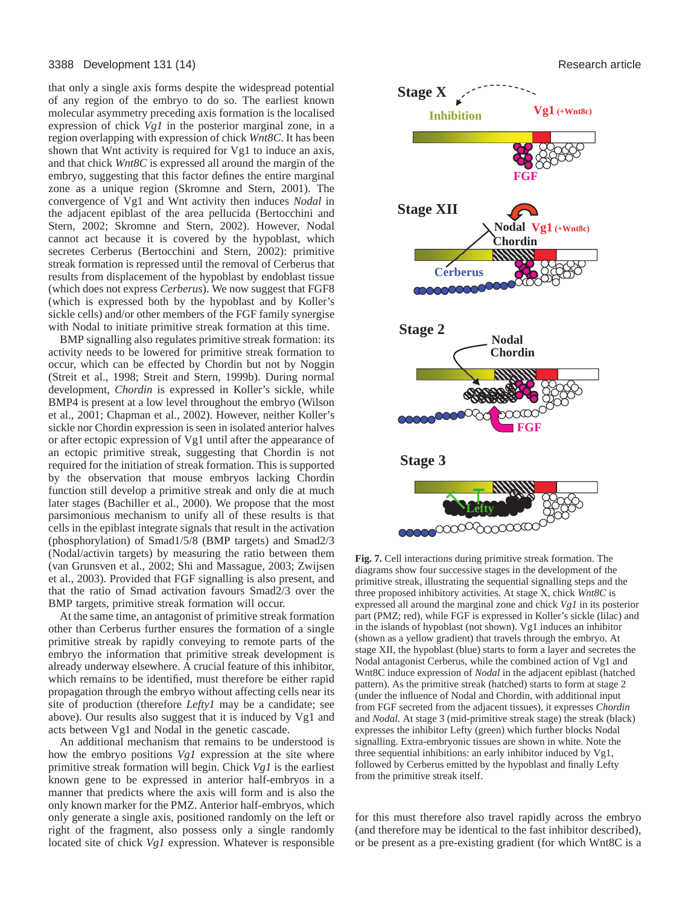#### 3388 Development 131 (14) Research article

that only a single axis forms despite the widespread potential of any region of the embryo to do so. The earliest known molecular asymmetry preceding axis formation is the localised expression of chick *Vg1* in the posterior marginal zone, in a region overlapping with expression of chick *Wnt8C*. It has been shown that Wnt activity is required for Vg1 to induce an axis, and that chick *Wnt8C* is expressed all around the margin of the embryo, suggesting that this factor defines the entire marginal zone as a unique region (Skromne and Stern, 2001). The convergence of Vg1 and Wnt activity then induces *Nodal* in the adjacent epiblast of the area pellucida (Bertocchini and Stern, 2002; Skromne and Stern, 2002). However, Nodal cannot act because it is covered by the hypoblast, which secretes Cerberus (Bertocchini and Stern, 2002): primitive streak formation is repressed until the removal of Cerberus that results from displacement of the hypoblast by endoblast tissue (which does not express *Cerberus*). We now suggest that FGF8 (which is expressed both by the hypoblast and by Koller's sickle cells) and/or other members of the FGF family synergise with Nodal to initiate primitive streak formation at this time.

BMP signalling also regulates primitive streak formation: its activity needs to be lowered for primitive streak formation to occur, which can be effected by Chordin but not by Noggin (Streit et al., 1998; Streit and Stern, 1999b). During normal development, *Chordin* is expressed in Koller's sickle, while BMP4 is present at a low level throughout the embryo (Wilson et al., 2001; Chapman et al., 2002). However, neither Koller's sickle nor Chordin expression is seen in isolated anterior halves or after ectopic expression of Vg1 until after the appearance of an ectopic primitive streak, suggesting that Chordin is not required for the initiation of streak formation. This is supported by the observation that mouse embryos lacking Chordin function still develop a primitive streak and only die at much later stages (Bachiller et al., 2000). We propose that the most parsimonious mechanism to unify all of these results is that cells in the epiblast integrate signals that result in the activation (phosphorylation) of Smad1/5/8 (BMP targets) and Smad2/3 (Nodal/activin targets) by measuring the ratio between them (van Grunsven et al., 2002; Shi and Massague, 2003; Zwijsen et al., 2003). Provided that FGF signalling is also present, and that the ratio of Smad activation favours Smad2/3 over the BMP targets, primitive streak formation will occur.

At the same time, an antagonist of primitive streak formation other than Cerberus further ensures the formation of a single primitive streak by rapidly conveying to remote parts of the embryo the information that primitive streak development is already underway elsewhere. A crucial feature of this inhibitor, which remains to be identified, must therefore be either rapid propagation through the embryo without affecting cells near its site of production (therefore *Lefty1* may be a candidate; see above). Our results also suggest that it is induced by Vg1 and acts between Vg1 and Nodal in the genetic cascade.

An additional mechanism that remains to be understood is how the embryo positions *Vg1* expression at the site where primitive streak formation will begin. Chick *Vg1* is the earliest known gene to be expressed in anterior half-embryos in a manner that predicts where the axis will form and is also the only known marker for the PMZ. Anterior half-embryos, which only generate a single axis, positioned randomly on the left or right of the fragment, also possess only a single randomly located site of chick *Vg1* expression. Whatever is responsible



**Fig. 7.** Cell interactions during primitive streak formation. The diagrams show four successive stages in the development of the primitive streak, illustrating the sequential signalling steps and the three proposed inhibitory activities. At stage X, chick *Wnt8C* is expressed all around the marginal zone and chick *Vg1* in its posterior part (PMZ; red), while FGF is expressed in Koller's sickle (lilac) and in the islands of hypoblast (not shown). Vg1 induces an inhibitor (shown as a yellow gradient) that travels through the embryo. At stage XII, the hypoblast (blue) starts to form a layer and secretes the Nodal antagonist Cerberus, while the combined action of Vg1 and Wnt8C induce expression of *Nodal* in the adjacent epiblast (hatched pattern). As the primitive streak (hatched) starts to form at stage 2 (under the influence of Nodal and Chordin, with additional input from FGF secreted from the adjacent tissues), it expresses *Chordin* and *Nodal*. At stage 3 (mid-primitive streak stage) the streak (black) expresses the inhibitor Lefty (green) which further blocks Nodal signalling. Extra-embryonic tissues are shown in white. Note the three sequential inhibitions: an early inhibitor induced by Vg1, followed by Cerberus emitted by the hypoblast and finally Lefty from the primitive streak itself.

for this must therefore also travel rapidly across the embryo (and therefore may be identical to the fast inhibitor described), or be present as a pre-existing gradient (for which Wnt8C is a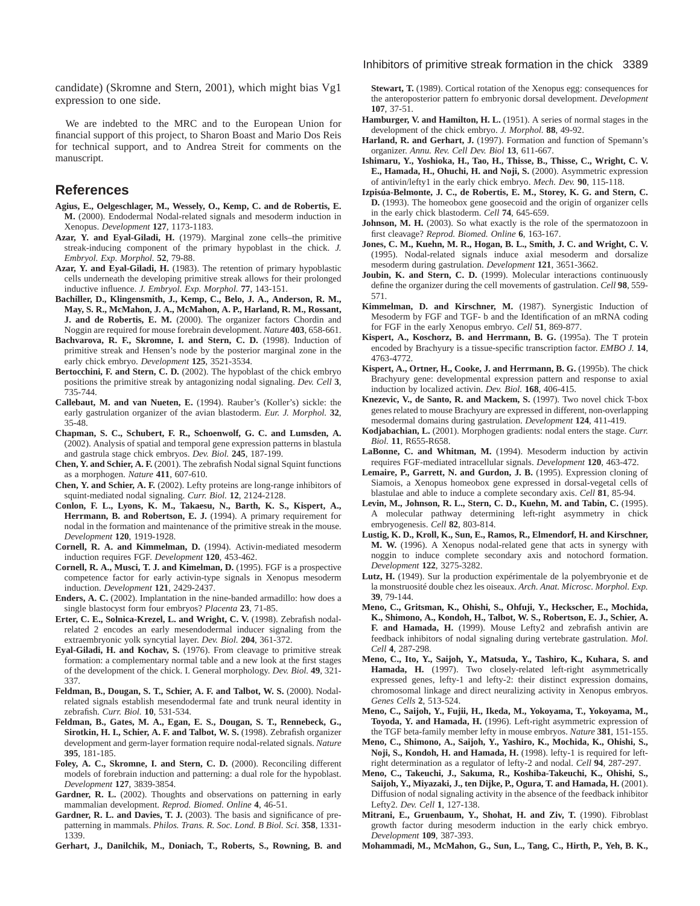candidate) (Skromne and Stern, 2001), which might bias Vg1 expression to one side.

We are indebted to the MRC and to the European Union for financial support of this project, to Sharon Boast and Mario Dos Reis for technical support, and to Andrea Streit for comments on the manuscript.

# **References**

- **Agius, E., Oelgeschlager, M., Wessely, O., Kemp, C. and de Robertis, E. M.** (2000). Endodermal Nodal-related signals and mesoderm induction in Xenopus. *Development* **127**, 1173-1183.
- **Azar, Y. and Eyal-Giladi, H.** (1979). Marginal zone cells–the primitive streak-inducing component of the primary hypoblast in the chick. *J. Embryol. Exp. Morphol.* **52**, 79-88.
- **Azar, Y. and Eyal-Giladi, H.** (1983). The retention of primary hypoblastic cells underneath the developing primitive streak allows for their prolonged inductive influence. *J. Embryol. Exp. Morphol.* **77**, 143-151.
- **Bachiller, D., Klingensmith, J., Kemp, C., Belo, J. A., Anderson, R. M., May, S. R., McMahon, J. A., McMahon, A. P., Harland, R. M., Rossant, J. and de Robertis, E. M.** (2000). The organizer factors Chordin and Noggin are required for mouse forebrain development. *Nature* **403**, 658-661.
- Bachvarova, R. F., Skromne, I. and Stern, C. D. (1998). Induction of primitive streak and Hensen's node by the posterior marginal zone in the early chick embryo. *Development* **125**, 3521-3534.
- **Bertocchini, F. and Stern, C. D.** (2002). The hypoblast of the chick embryo positions the primitive streak by antagonizing nodal signaling. *Dev. Cell* **3**, 735-744.
- **Callebaut, M. and van Nueten, E.** (1994). Rauber's (Koller's) sickle: the early gastrulation organizer of the avian blastoderm. *Eur. J. Morphol.* **32**, 35-48.
- **Chapman, S. C., Schubert, F. R., Schoenwolf, G. C. and Lumsden, A.** (2002). Analysis of spatial and temporal gene expression patterns in blastula and gastrula stage chick embryos. *Dev. Biol.* **245**, 187-199.
- **Chen, Y. and Schier, A. F.** (2001). The zebrafish Nodal signal Squint functions as a morphogen. *Nature* **411**, 607-610.
- **Chen, Y. and Schier, A. F.** (2002). Lefty proteins are long-range inhibitors of squint-mediated nodal signaling. *Curr. Biol.* **12**, 2124-2128.
- **Conlon, F. L., Lyons, K. M., Takaesu, N., Barth, K. S., Kispert, A.,** Herrmann, B. and Robertson, E. J. (1994). A primary requirement for nodal in the formation and maintenance of the primitive streak in the mouse. *Development* **120**, 1919-1928.
- **Cornell, R. A. and Kimmelman, D.** (1994). Activin-mediated mesoderm induction requires FGF. *Development* **120**, 453-462.
- **Cornell, R. A., Musci, T. J. and Kimelman, D.** (1995). FGF is a prospective competence factor for early activin-type signals in Xenopus mesoderm induction. *Development* **121**, 2429-2437.
- **Enders, A. C.** (2002). Implantation in the nine-banded armadillo: how does a single blastocyst form four embryos? *Placenta* **23**, 71-85.
- **Erter, C. E., Solnica-Krezel, L. and Wright, C. V.** (1998). Zebrafish nodalrelated 2 encodes an early mesendodermal inducer signaling from the extraembryonic yolk syncytial layer. *Dev. Biol.* **204**, 361-372.
- **Eyal-Giladi, H. and Kochav, S.** (1976). From cleavage to primitive streak formation: a complementary normal table and a new look at the first stages of the development of the chick. I. General morphology. *Dev. Biol.* **49**, 321- 337.
- **Feldman, B., Dougan, S. T., Schier, A. F. and Talbot, W. S.** (2000). Nodalrelated signals establish mesendodermal fate and trunk neural identity in zebrafish. *Curr. Biol.* **10**, 531-534.
- **Feldman, B., Gates, M. A., Egan, E. S., Dougan, S. T., Rennebeck, G., Sirotkin, H. I., Schier, A. F. and Talbot, W. S.** (1998). Zebrafish organizer development and germ-layer formation require nodal-related signals. *Nature* **395**, 181-185.
- **Foley, A. C., Skromne, I. and Stern, C. D.** (2000). Reconciling different models of forebrain induction and patterning: a dual role for the hypoblast. *Development* **127**, 3839-3854.
- Gardner, R. L. (2002). Thoughts and observations on patterning in early mammalian development. *Reprod. Biomed. Online* **4**, 46-51.
- Gardner, R. L. and Davies, T. J. (2003). The basis and significance of prepatterning in mammals. *Philos. Trans. R. Soc. Lond. B Biol. Sci.* **358**, 1331- 1339.
- **Gerhart, J., Danilchik, M., Doniach, T., Roberts, S., Rowning, B. and**

**Stewart, T.** (1989). Cortical rotation of the Xenopus egg: consequences for the anteroposterior pattern fo embryonic dorsal development. *Development* **107**, 37-51.

- Hamburger, V. and Hamilton, H. L. (1951). A series of normal stages in the development of the chick embryo. *J. Morphol.* **88**, 49-92.
- Harland, R. and Gerhart, J. (1997). Formation and function of Spemann's organizer. *Annu. Rev. Cell Dev. Biol* **13**, 611-667.
- **Ishimaru, Y., Yoshioka, H., Tao, H., Thisse, B., Thisse, C., Wright, C. V. E., Hamada, H., Ohuchi, H. and Noji, S.** (2000). Asymmetric expression of antivin/lefty1 in the early chick embryo. *Mech. Dev.* **90**, 115-118.
- **Izpisúa-Belmonte, J. C., de Robertis, E. M., Storey, K. G. and Stern, C. D.** (1993). The homeobox gene goosecoid and the origin of organizer cells in the early chick blastoderm. *Cell* **74**, 645-659.
- **Johnson, M. H.** (2003). So what exactly is the role of the spermatozoon in first cleavage? *Reprod. Biomed. Online* **6**, 163-167.
- **Jones, C. M., Kuehn, M. R., Hogan, B. L., Smith, J. C. and Wright, C. V.** (1995). Nodal-related signals induce axial mesoderm and dorsalize mesoderm during gastrulation. *Development* **121**, 3651-3662.
- Joubin, K. and Stern, C. D. (1999). Molecular interactions continuously define the organizer during the cell movements of gastrulation. *Cell* **98**, 559- 571.
- **Kimmelman, D. and Kirschner, M.** (1987). Synergistic Induction of Mesoderm by FGF and TGF- b and the Identification of an mRNA coding for FGF in the early Xenopus embryo. *Cell* **51**, 869-877.
- Kispert, A., Koschorz, B. and Herrmann, B. G. (1995a). The T protein encoded by Brachyury is a tissue-specific transcription factor. *EMBO J.* **14**, 4763-4772.
- **Kispert, A., Ortner, H., Cooke, J. and Herrmann, B. G. (1995b).** The chick Brachyury gene: developmental expression pattern and response to axial induction by localized activin. *Dev. Biol.* **168**, 406-415.
- **Knezevic, V., de Santo, R. and Mackem, S.** (1997). Two novel chick T-box genes related to mouse Brachyury are expressed in different, non-overlapping mesodermal domains during gastrulation. *Development* **124**, 411-419.
- **Kodjabachian, L.** (2001). Morphogen gradients: nodal enters the stage. *Curr. Biol.* **11**, R655-R658.
- LaBonne, C. and Whitman, M. (1994). Mesoderm induction by activin requires FGF-mediated intracellular signals. *Development* **120**, 463-472.
- Lemaire, P., Garrett, N. and Gurdon, J. B. (1995). Expression cloning of Siamois, a Xenopus homeobox gene expressed in dorsal-vegetal cells of blastulae and able to induce a complete secondary axis. *Cell* **81**, 85-94.
- **Levin, M., Johnson, R. L., Stern, C. D., Kuehn, M. and Tabin, C.** (1995). A molecular pathway determining left-right asymmetry in chick embryogenesis. *Cell* **82**, 803-814.
- **Lustig, K. D., Kroll, K., Sun, E., Ramos, R., Elmendorf, H. and Kirschner, M. W.** (1996). A Xenopus nodal-related gene that acts in synergy with noggin to induce complete secondary axis and notochord formation. *Development* **122**, 3275-3282.
- **Lutz, H.** (1949). Sur la production expérimentale de la polyembryonie et de la monstruosité double chez les oiseaux. *Arch. Anat. Microsc. Morphol. Exp.* **39**, 79-144.
- **Meno, C., Gritsman, K., Ohishi, S., Ohfuji, Y., Heckscher, E., Mochida, K., Shimono, A., Kondoh, H., Talbot, W. S., Robertson, E. J., Schier, A. F. and Hamada, H.** (1999). Mouse Lefty2 and zebrafish antivin are feedback inhibitors of nodal signaling during vertebrate gastrulation. *Mol. Cell* **4**, 287-298.
- **Meno, C., Ito, Y., Saijoh, Y., Matsuda, Y., Tashiro, K., Kuhara, S. and** Hamada, H. (1997). Two closely-related left-right asymmetrically expressed genes, lefty-1 and lefty-2: their distinct expression domains, chromosomal linkage and direct neuralizing activity in Xenopus embryos. *Genes Cells* **2**, 513-524.
- **Meno, C., Saijoh, Y., Fujii, H., Ikeda, M., Yokoyama, T., Yokoyama, M., Toyoda, Y. and Hamada, H.** (1996). Left-right asymmetric expression of the TGF beta-family member lefty in mouse embryos. *Nature* **381**, 151-155.
- **Meno, C., Shimono, A., Saijoh, Y., Yashiro, K., Mochida, K., Ohishi, S., Noji, S., Kondoh, H. and Hamada, H.** (1998). lefty-1 is required for leftright determination as a regulator of lefty-2 and nodal. *Cell* **94**, 287-297.
- **Meno, C., Takeuchi, J., Sakuma, R., Koshiba-Takeuchi, K., Ohishi, S., Saijoh, Y., Miyazaki, J., ten Dijke, P., Ogura, T. and Hamada, H.** (2001). Diffusion of nodal signaling activity in the absence of the feedback inhibitor Lefty2. *Dev. Cell* **1**, 127-138.
- **Mitrani, E., Gruenbaum, Y., Shohat, H. and Ziv, T.** (1990). Fibroblast growth factor during mesoderm induction in the early chick embryo. *Development* **109**, 387-393.
- **Mohammadi, M., McMahon, G., Sun, L., Tang, C., Hirth, P., Yeh, B. K.,**